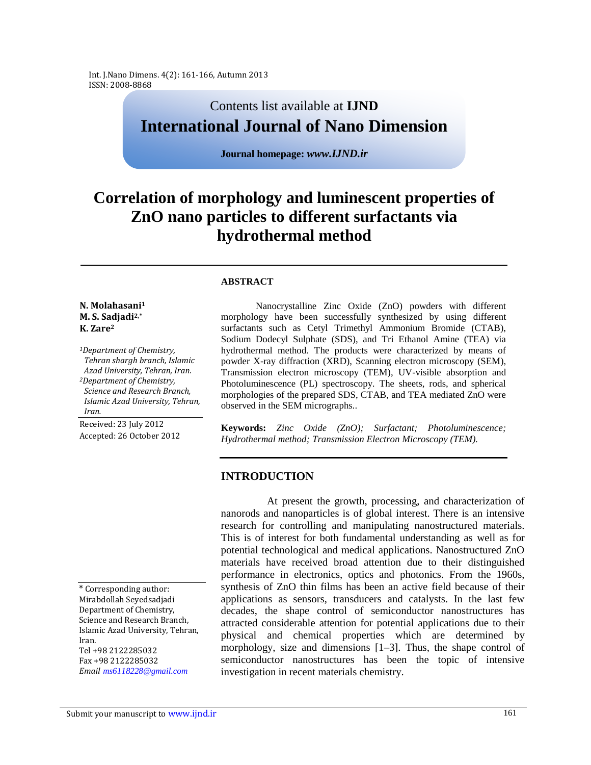Int. J.Nano Dimens. 4(2): 161-166, Autumn 2013 ISSN: 2008-8868

# Contents list available at **IJND International Journal of Nano Dimension**

**Journal homepage:** *www.IJND.ir*

# **Correlation of morphology and luminescent properties of ZnO nano particles to different surfactants via hydrothermal method**

#### **ABSTRACT**

### **N. Molahasani<sup>1</sup> M. S. Sadjadi2,\* K. Zare<sup>2</sup>**

*<sup>1</sup>Department of Chemistry, Tehran shargh branch, Islamic Azad University, Tehran, Iran. <sup>2</sup>Department of Chemistry, Science and Research Branch, Islamic Azad University, Tehran, Iran.*

Received: 23 July 2012 Accepted: 26 October 2012

\* Corresponding author: Mirabdollah Seyedsadjadi Department of Chemistry, Science and Research Branch, Islamic Azad University, Tehran, Iran. Tel +98 2122285032 Fax +98 2122285032 *Email ms6118228@gmail.com* 

 Nanocrystalline Zinc Oxide (ZnO) powders with different morphology have been successfully synthesized by using different surfactants such as Cetyl Trimethyl Ammonium Bromide (CTAB), Sodium Dodecyl Sulphate (SDS), and Tri Ethanol Amine (TEA) via hydrothermal method. The products were characterized by means of powder X-ray diffraction (XRD), Scanning electron microscopy (SEM), Transmission electron microscopy (TEM), UV-visible absorption and Photoluminescence (PL) spectroscopy. The sheets, rods, and spherical morphologies of the prepared SDS, CTAB, and TEA mediated ZnO were observed in the SEM micrographs..

**Keywords:** *Zinc Oxide (ZnO); Surfactant; Photoluminescence; Hydrothermal method; Transmission Electron Microscopy (TEM).*

# **INTRODUCTION**

At present the growth, processing, and characterization of nanorods and nanoparticles is of global interest. There is an intensive research for controlling and manipulating nanostructured materials. This is of interest for both fundamental understanding as well as for potential technological and medical applications. Nanostructured ZnO materials have received broad attention due to their distinguished performance in electronics, optics and photonics. From the 1960s, synthesis of ZnO thin films has been an active field because of their applications as sensors, transducers and catalysts. In the last few decades, the shape control of semiconductor nanostructures has attracted considerable attention for potential applications due to their physical and chemical properties which are determined by morphology, size and dimensions [1–3]. Thus, the shape control of semiconductor nanostructures has been the topic of intensive investigation in recent materials chemistry.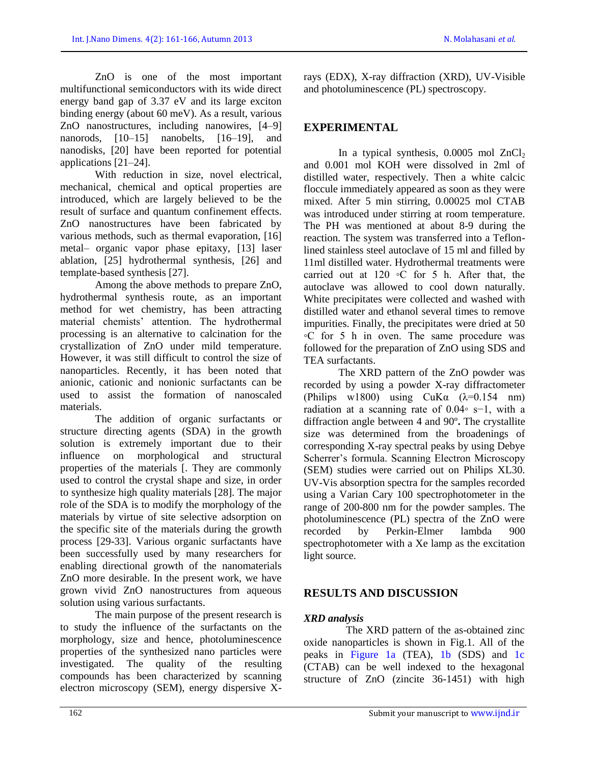ZnO is one of the most important multifunctional semiconductors with its wide direct energy band gap of 3.37 eV and its large exciton binding energy (about 60 meV). As a result, various ZnO nanostructures, including nanowires, [4–9] nanorods, [10–15] nanobelts, [16–19], and nanodisks, [20] have been reported for potential applications [21–24].

With reduction in size, novel electrical, mechanical, chemical and optical properties are introduced, which are largely believed to be the result of surface and quantum confinement effects. ZnO nanostructures have been fabricated by various methods, such as thermal evaporation, [16] metal– organic vapor phase epitaxy, [13] laser ablation, [25] hydrothermal synthesis, [26] and template-based synthesis [27].

Among the above methods to prepare ZnO, hydrothermal synthesis route, as an important method for wet chemistry, has been attracting material chemists' attention. The hydrothermal processing is an alternative to calcination for the crystallization of ZnO under mild temperature. However, it was still difficult to control the size of nanoparticles. Recently, it has been noted that anionic, cationic and nonionic surfactants can be used to assist the formation of nanoscaled materials.

The addition of organic surfactants or structure directing agents (SDA) in the growth solution is extremely important due to their influence on morphological and structural properties of the materials [. They are commonly used to control the crystal shape and size, in order to synthesize high quality materials [28]. The major role of the SDA is to modify the morphology of the materials by virtue of site selective adsorption on the specific site of the materials during the growth process [29-33]. Various organic surfactants have been successfully used by many researchers for enabling directional growth of the nanomaterials ZnO more desirable. In the present work, we have grown vivid ZnO nanostructures from aqueous solution using various surfactants.

The main purpose of the present research is to study the influence of the surfactants on the morphology, size and hence, photoluminescence properties of the synthesized nano particles were investigated. The quality of the resulting compounds has been characterized by scanning electron microscopy (SEM), energy dispersive X-

rays (EDX), X-ray diffraction (XRD), UV-Visible and photoluminescence (PL) spectroscopy.

# **EXPERIMENTAL**

In a typical synthesis,  $0.0005$  mol  $ZnCl<sub>2</sub>$ and 0.001 mol KOH were dissolved in 2ml of distilled water, respectively. Then a white calcic floccule immediately appeared as soon as they were mixed. After 5 min stirring, 0.00025 mol CTAB was introduced under stirring at room temperature. The PH was mentioned at about 8-9 during the reaction. The system was transferred into a Teflonlined stainless steel autoclave of 15 ml and filled by 11ml distilled water. Hydrothermal treatments were carried out at  $120 °C$  for 5 h. After that, the autoclave was allowed to cool down naturally. White precipitates were collected and washed with distilled water and ethanol several times to remove impurities. Finally, the precipitates were dried at 50 ◦C for 5 h in oven. The same procedure was followed for the preparation of ZnO using SDS and TEA surfactants.

The XRD pattern of the ZnO powder was recorded by using a powder X-ray diffractometer (Philips w1800) using  $CuKa$   $(\lambda=0.154 \text{ nm})$ radiation at a scanning rate of 0.04◦ s−1, with a diffraction angle between 4 and 90º**.** The crystallite size was determined from the broadenings of corresponding X-ray spectral peaks by using Debye Scherrer's formula. Scanning Electron Microscopy (SEM) studies were carried out on Philips XL30. UV-Vis absorption spectra for the samples recorded using a Varian Cary 100 spectrophotometer in the range of 200-800 nm for the powder samples. The photoluminescence (PL) spectra of the ZnO were recorded by Perkin-Elmer lambda 900 spectrophotometer with a Xe lamp as the excitation light source.

# **RESULTS AND DISCUSSION**

## *XRD analysis*

The XRD pattern of the as-obtained zinc oxide nanoparticles is shown in Fig.1. All of the peaks in Figure 1a (TEA), 1b (SDS) and 1c (CTAB) can be well indexed to the hexagonal structure of ZnO (zincite 36-1451) with high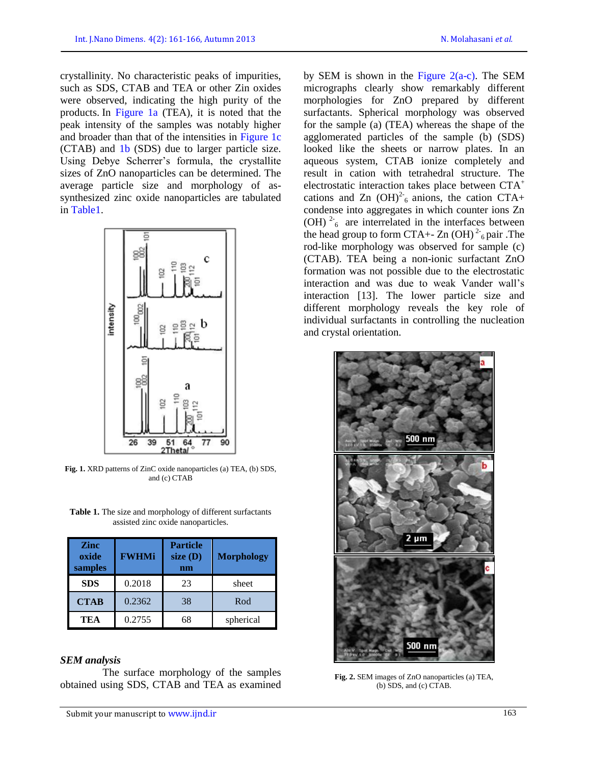crystallinity. No characteristic peaks of impurities, such as SDS, CTAB and TEA or other Zin oxides were observed, indicating the high purity of the products. In Figure 1a (TEA), it is noted that the peak intensity of the samples was notably higher and broader than that of the intensities in Figure 1c (CTAB) and 1b (SDS) due to larger particle size. Using Debye Scherrer's formula, the crystallite sizes of ZnO nanoparticles can be determined. The average particle size and morphology of assynthesized zinc oxide nanoparticles are tabulated in Table1.



**Fig. 1.** XRD patterns of ZinC oxide nanoparticles (a) TEA, (b) SDS, and (c) CTAB

**Table 1.** The size and morphology of different surfactants assisted zinc oxide nanoparticles.

| <b>Zinc</b><br>oxide<br>samples | <b>FWHMi</b> | <b>Particle</b><br>size $(D)$<br>nm | <b>Morphology</b> |
|---------------------------------|--------------|-------------------------------------|-------------------|
| <b>SDS</b>                      | 0.2018       | 23                                  | sheet             |
| <b>CTAB</b>                     | 0.2362       | 38                                  | Rod               |
| <b>TEA</b>                      | 0.2755       | 68                                  | spherical         |

#### *SEM analysis*

The surface morphology of the samples obtained using SDS, CTAB and TEA as examined by SEM is shown in the Figure  $2(a-c)$ . The SEM micrographs clearly show remarkably different morphologies for ZnO prepared by different surfactants. Spherical morphology was observed for the sample (a) (TEA) whereas the shape of the agglomerated particles of the sample (b) (SDS) looked like the sheets or narrow plates. In an aqueous system, CTAB ionize completely and result in cation with tetrahedral structure. The electrostatic interaction takes place between CTA<sup>+</sup> cations and Zn  $(OH)^2$ <sup>-6</sup> anions, the cation CTA+ condense into aggregates in which counter ions Zn (OH)  $2\frac{1}{6}$  are interrelated in the interfaces between the head group to form CTA+- Zn  $(OH)^2$ <sup>5</sup> pair .The rod-like morphology was observed for sample (c) (CTAB). TEA being a non-ionic surfactant ZnO formation was not possible due to the electrostatic interaction and was due to weak Vander wall's interaction [13]. The lower particle size and

different morphology reveals the key role of individual surfactants in controlling the nucleation

and crystal orientation.



**Fig. 2.** SEM images of ZnO nanoparticles (a) TEA, (b) SDS, and (c) CTAB.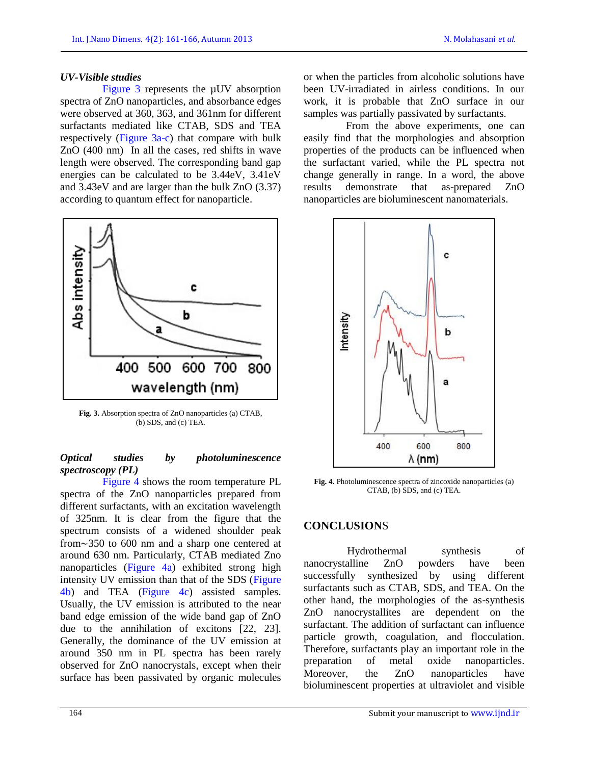## *UV-Visible studies*

Figure 3 represents the µUV absorption spectra of ZnO nanoparticles, and absorbance edges were observed at 360, 363, and 361nm for different surfactants mediated like CTAB, SDS and TEA respectively (Figure 3a-c) that compare with bulk ZnO (400 nm) In all the cases, red shifts in wave length were observed. The corresponding band gap energies can be calculated to be 3.44eV, 3.41eV and 3.43eV and are larger than the bulk ZnO (3.37) according to quantum effect for nanoparticle.



**Fig. 3.** Absorption spectra of ZnO nanoparticles (a) CTAB, (b) SDS, and (c) TEA.

## *Optical studies by photoluminescence spectroscopy (PL)*

Figure 4 shows the room temperature PL spectra of the ZnO nanoparticles prepared from different surfactants, with an excitation wavelength of 325nm. It is clear from the figure that the spectrum consists of a widened shoulder peak from∼350 to 600 nm and a sharp one centered at around 630 nm. Particularly, CTAB mediated Zno nanoparticles (Figure 4a) exhibited strong high intensity UV emission than that of the SDS (Figure 4b) and TEA (Figure 4c) assisted samples. Usually, the UV emission is attributed to the near band edge emission of the wide band gap of ZnO due to the annihilation of excitons [22, 23]. Generally, the dominance of the UV emission at around 350 nm in PL spectra has been rarely observed for ZnO nanocrystals, except when their surface has been passivated by organic molecules

or when the particles from alcoholic solutions have been UV-irradiated in airless conditions. In our work, it is probable that ZnO surface in our samples was partially passivated by surfactants.

From the above experiments, one can easily find that the morphologies and absorption properties of the products can be influenced when the surfactant varied, while the PL spectra not change generally in range. In a word, the above results demonstrate that as-prepared ZnO nanoparticles are bioluminescent nanomaterials.



**Fig. 4.** Photoluminescence spectra of zincoxide nanoparticles (a) CTAB, (b) SDS, and (c) TEA*.*

# **CONCLUSION**S

Hydrothermal synthesis of nanocrystalline ZnO powders have been successfully synthesized by using different surfactants such as CTAB, SDS, and TEA. On the other hand, the morphologies of the as-synthesis ZnO nanocrystallites are dependent on the surfactant. The addition of surfactant can influence particle growth, coagulation, and flocculation. Therefore, surfactants play an important role in the preparation of metal oxide nanoparticles. Moreover, the ZnO nanoparticles have bioluminescent properties at ultraviolet and visible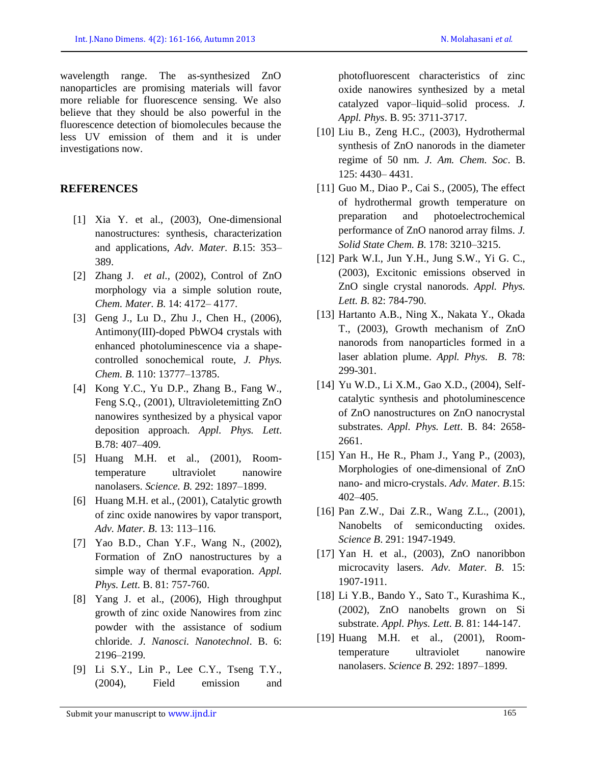wavelength range. The as-synthesized ZnO nanoparticles are promising materials will favor more reliable for fluorescence sensing. We also believe that they should be also powerful in the fluorescence detection of biomolecules because the less UV emission of them and it is under investigations now.

## **REFERENCES**

- [1] Xia Y. et al., (2003), One-dimensional nanostructures: synthesis, characterization and applications, *Adv. Mater. B*.15: 353– 389.
- [2] Zhang J. *et al.,* (2002), Control of ZnO morphology via a simple solution route, *Chem. Mater. B*. 14: 4172– 4177.
- [3] Geng J., Lu D., Zhu J., Chen H., (2006), Antimony(III)-doped PbWO4 crystals with enhanced photoluminescence via a shapecontrolled sonochemical route, *J. Phys. Chem. B*. 110: 13777–13785.
- [4] Kong Y.C., Yu D.P., Zhang B., Fang W., Feng S.Q., (2001), Ultravioletemitting ZnO nanowires synthesized by a physical vapor deposition approach. *Appl. Phys. Lett*. B.78: 407–409.
- [5] Huang M.H. et al., (2001), Roomtemperature ultraviolet nanowire nanolasers. *Science. B*. 292: 1897–1899.
- [6] Huang M.H. et al., (2001), Catalytic growth of zinc oxide nanowires by vapor transport, *Adv. Mater. B*. 13: 113–116.
- [7] Yao B.D., Chan Y.F., Wang N., (2002), Formation of ZnO nanostructures by a simple way of thermal evaporation. *Appl. Phys. Lett.* B. 81: 757-760.
- [8] Yang J. et al., (2006), High throughput growth of zinc oxide Nanowires from zinc powder with the assistance of sodium chloride. *J. Nanosci. Nanotechnol*. B. 6: 2196–2199.
- [9] Li S.Y., Lin P., Lee C.Y., Tseng T.Y., (2004), Field emission and

photofluorescent characteristics of zinc oxide nanowires synthesized by a metal catalyzed vapor–liquid–solid process. *J. Appl. Phys*. B. 95: 3711-3717.

- [10] Liu B., Zeng H.C., (2003), Hydrothermal synthesis of ZnO nanorods in the diameter regime of 50 nm. *J. Am. Chem. Soc*. B. 125: 4430– 4431.
- [11] Guo M., Diao P., Cai S., (2005), The effect of hydrothermal growth temperature on preparation and photoelectrochemical performance of ZnO nanorod array films. *J. Solid State Chem. B*. 178: 3210–3215.
- [12] Park W.I., Jun Y.H., Jung S.W., Yi G. C., (2003), Excitonic emissions observed in ZnO single crystal nanorods. *Appl. Phys. Lett. B*. 82: 784-790.
- [13] Hartanto A.B., Ning X., Nakata Y., Okada T., (2003), Growth mechanism of ZnO nanorods from nanoparticles formed in a laser ablation plume. *Appl. Phys. B*. 78: 299-301.
- [14] Yu W.D., Li X.M., Gao X.D., (2004), Selfcatalytic synthesis and photoluminescence of ZnO nanostructures on ZnO nanocrystal substrates. *Appl. Phys. Lett*. B. 84: 2658- 2661.
- [15] Yan H., He R., Pham J., Yang P., (2003), Morphologies of one-dimensional of ZnO nano- and micro-crystals. *Adv. Mater. B*.15: 402–405.
- [16] Pan Z.W., Dai Z.R., Wang Z.L., (2001), Nanobelts of semiconducting oxides. *Science B*. 291: 1947-1949.
- [17] Yan H. et al., (2003), ZnO nanoribbon microcavity lasers. *Adv. Mater. B*. 15: 1907-1911.
- [18] Li Y.B., Bando Y., Sato T., Kurashima K., (2002), ZnO nanobelts grown on Si substrate. *Appl. Phys. Lett. B*. 81: 144-147.
- [19] Huang M.H. et al., (2001), Roomtemperature ultraviolet nanowire nanolasers. *Science B*. 292: 1897–1899.